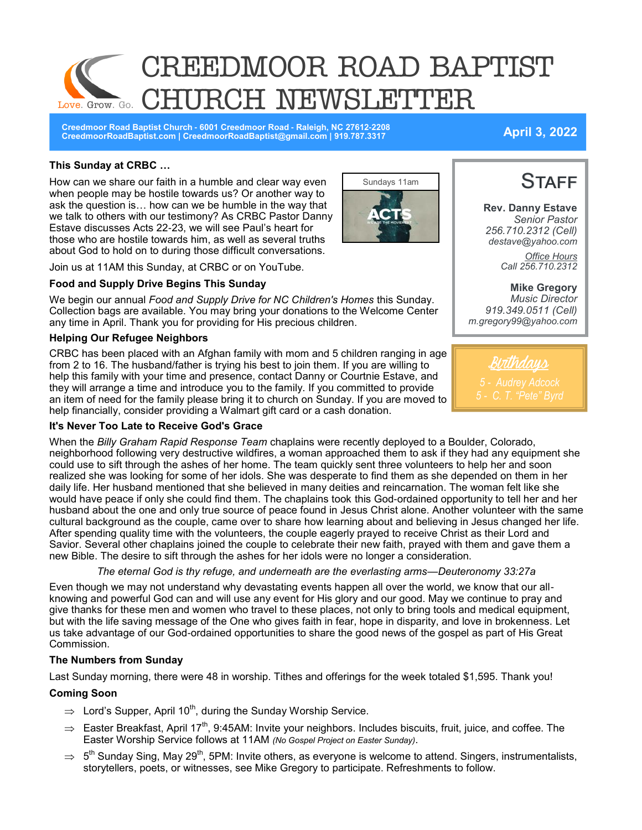

**Creedmoor Road Baptist Church - 6001 Creedmoor Road - Raleigh, NC 27612-2208 CreedmoorRoadBaptist.com | CreedmoorRoadBaptist@gmail.com | 919.787.3317 April 3, 2022**

### **This Sunday at CRBC …**

How can we share our faith in a humble and clear way even when people may be hostile towards us? Or another way to ask the question is… how can we be humble in the way that we talk to others with our testimony? As CRBC Pastor Danny Estave discusses Acts 22-23, we will see Paul's heart for those who are hostile towards him, as well as several truths about God to hold on to during those difficult conversations.

Join us at 11AM this Sunday, at CRBC or on YouTube.

### **Food and Supply Drive Begins This Sunday**

We begin our annual *Food and Supply Drive for NC Children's Homes* this Sunday. Collection bags are available. You may bring your donations to the Welcome Center any time in April. Thank you for providing for His precious children.

### **Helping Our Refugee Neighbors**

CRBC has been placed with an Afghan family with mom and 5 children ranging in age from 2 to 16. The husband/father is trying his best to join them. If you are willing to help this family with your time and presence, contact Danny or Courtnie Estave, and they will arrange a time and introduce you to the family. If you committed to provide an item of need for the family please bring it to church on Sunday. If you are moved to help financially, consider providing a Walmart gift card or a cash donation.

### **It's Never Too Late to Receive God's Grace**

When the *Billy Graham Rapid Response Team* chaplains were recently deployed to a Boulder, Colorado, neighborhood following very destructive wildfires, a woman approached them to ask if they had any equipment she could use to sift through the ashes of her home. The team quickly sent three volunteers to help her and soon realized she was looking for some of her idols. She was desperate to find them as she depended on them in her daily life. Her husband mentioned that she believed in many deities and reincarnation. The woman felt like she would have peace if only she could find them. The chaplains took this God-ordained opportunity to tell her and her husband about the one and only true source of peace found in Jesus Christ alone. Another volunteer with the same cultural background as the couple, came over to share how learning about and believing in Jesus changed her life. After spending quality time with the volunteers, the couple eagerly prayed to receive Christ as their Lord and Savior. Several other chaplains joined the couple to celebrate their new faith, prayed with them and gave them a new Bible. The desire to sift through the ashes for her idols were no longer a consideration.

### *The eternal God is thy refuge, and underneath are the everlasting arms—Deuteronomy 33:27a*

Even though we may not understand why devastating events happen all over the world, we know that our allknowing and powerful God can and will use any event for His glory and our good. May we continue to pray and give thanks for these men and women who travel to these places, not only to bring tools and medical equipment, but with the life saving message of the One who gives faith in fear, hope in disparity, and love in brokenness. Let us take advantage of our God-ordained opportunities to share the good news of the gospel as part of His Great Commission.

### **The Numbers from Sunday**

Last Sunday morning, there were 48 in worship. Tithes and offerings for the week totaled \$1,595. Thank you!

### **Coming Soon**

- $\Rightarrow$  Lord's Supper, April 10<sup>th</sup>, during the Sunday Worship Service.
- $\Rightarrow$  Easter Breakfast, April 17<sup>th</sup>, 9:45AM: Invite your neighbors. Includes biscuits, fruit, juice, and coffee. The Easter Worship Service follows at 11AM *(No Gospel Project on Easter Sunday)*.
- $\Rightarrow~$  5<sup>th</sup> Sunday Sing, May 29<sup>th</sup>, 5PM: Invite others, as everyone is welcome to attend. Singers, instrumentalists, storytellers, poets, or witnesses, see Mike Gregory to participate. Refreshments to follow.



Birthdays

**STAFF Rev. Danny Estave**

*Senior Pastor 256.710.2312 (Cell) destave@yahoo.com Office Hours Call 256.710.2312* 

**Mike Gregory** *Music Director*

*919.349.0511 (Cell) m.gregory99@yahoo.com*